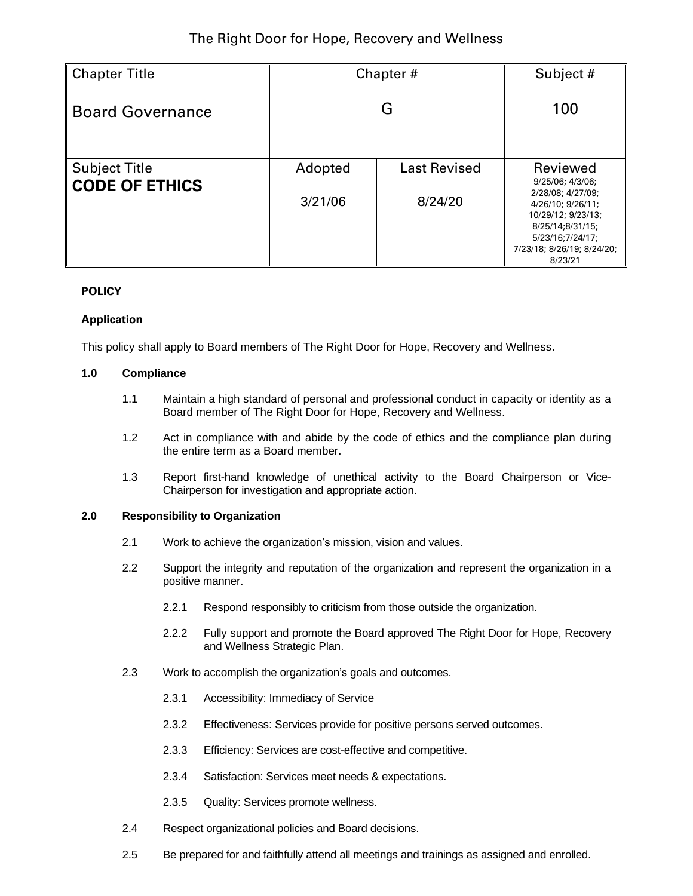| <b>Chapter Title</b>                          | Chapter#           | Subject #                      |                                                                                                                                                                               |
|-----------------------------------------------|--------------------|--------------------------------|-------------------------------------------------------------------------------------------------------------------------------------------------------------------------------|
| <b>Board Governance</b>                       |                    | 100                            |                                                                                                                                                                               |
| <b>Subject Title</b><br><b>CODE OF ETHICS</b> | Adopted<br>3/21/06 | <b>Last Revised</b><br>8/24/20 | Reviewed<br>9/25/06; 4/3/06;<br>2/28/08; 4/27/09;<br>4/26/10; 9/26/11;<br>10/29/12; 9/23/13;<br>8/25/14;8/31/15;<br>5/23/16;7/24/17;<br>7/23/18; 8/26/19; 8/24/20;<br>8/23/21 |

# **POLICY**

# **Application**

This policy shall apply to Board members of The Right Door for Hope, Recovery and Wellness.

### **1.0 Compliance**

- 1.1 Maintain a high standard of personal and professional conduct in capacity or identity as a Board member of The Right Door for Hope, Recovery and Wellness.
- 1.2 Act in compliance with and abide by the code of ethics and the compliance plan during the entire term as a Board member.
- 1.3 Report first-hand knowledge of unethical activity to the Board Chairperson or Vice-Chairperson for investigation and appropriate action.

### **2.0 Responsibility to Organization**

- 2.1 Work to achieve the organization's mission, vision and values.
- 2.2 Support the integrity and reputation of the organization and represent the organization in a positive manner.
	- 2.2.1 Respond responsibly to criticism from those outside the organization.
	- 2.2.2 Fully support and promote the Board approved The Right Door for Hope, Recovery and Wellness Strategic Plan.
- 2.3 Work to accomplish the organization's goals and outcomes.
	- 2.3.1 Accessibility: Immediacy of Service
	- 2.3.2 Effectiveness: Services provide for positive persons served outcomes.
	- 2.3.3 Efficiency: Services are cost-effective and competitive.
	- 2.3.4 Satisfaction: Services meet needs & expectations.
	- 2.3.5 Quality: Services promote wellness.
- 2.4 Respect organizational policies and Board decisions.
- 2.5 Be prepared for and faithfully attend all meetings and trainings as assigned and enrolled.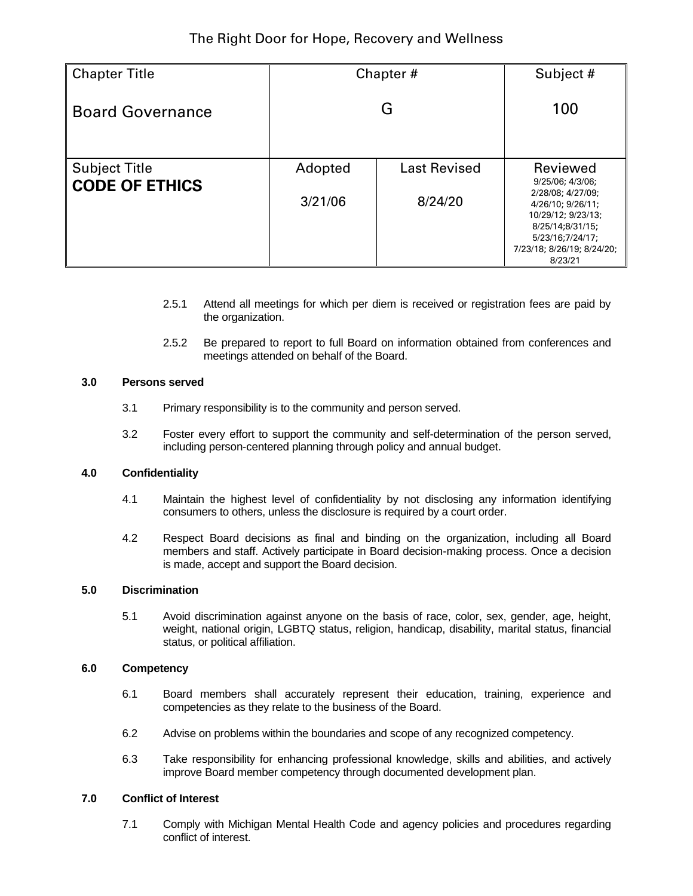| <b>Chapter Title</b>                          | Chapter#           | Subject #                      |                                                                                                                                                                               |
|-----------------------------------------------|--------------------|--------------------------------|-------------------------------------------------------------------------------------------------------------------------------------------------------------------------------|
| <b>Board Governance</b>                       |                    | 100                            |                                                                                                                                                                               |
| <b>Subject Title</b><br><b>CODE OF ETHICS</b> | Adopted<br>3/21/06 | <b>Last Revised</b><br>8/24/20 | Reviewed<br>9/25/06; 4/3/06;<br>2/28/08; 4/27/09;<br>4/26/10; 9/26/11;<br>10/29/12; 9/23/13;<br>8/25/14;8/31/15;<br>5/23/16;7/24/17;<br>7/23/18; 8/26/19; 8/24/20;<br>8/23/21 |

- 2.5.1 Attend all meetings for which per diem is received or registration fees are paid by the organization.
- 2.5.2 Be prepared to report to full Board on information obtained from conferences and meetings attended on behalf of the Board.

### **3.0 Persons served**

- 3.1 Primary responsibility is to the community and person served.
- 3.2 Foster every effort to support the community and self-determination of the person served, including person-centered planning through policy and annual budget.

# **4.0 Confidentiality**

- 4.1 Maintain the highest level of confidentiality by not disclosing any information identifying consumers to others, unless the disclosure is required by a court order.
- 4.2 Respect Board decisions as final and binding on the organization, including all Board members and staff. Actively participate in Board decision-making process. Once a decision is made, accept and support the Board decision.

#### **5.0 Discrimination**

5.1 Avoid discrimination against anyone on the basis of race, color, sex, gender, age, height, weight, national origin, LGBTQ status, religion, handicap, disability, marital status, financial status, or political affiliation.

#### **6.0 Competency**

- 6.1 Board members shall accurately represent their education, training, experience and competencies as they relate to the business of the Board.
- 6.2 Advise on problems within the boundaries and scope of any recognized competency.
- 6.3 Take responsibility for enhancing professional knowledge, skills and abilities, and actively improve Board member competency through documented development plan.

# **7.0 Conflict of Interest**

7.1 Comply with Michigan Mental Health Code and agency policies and procedures regarding conflict of interest.